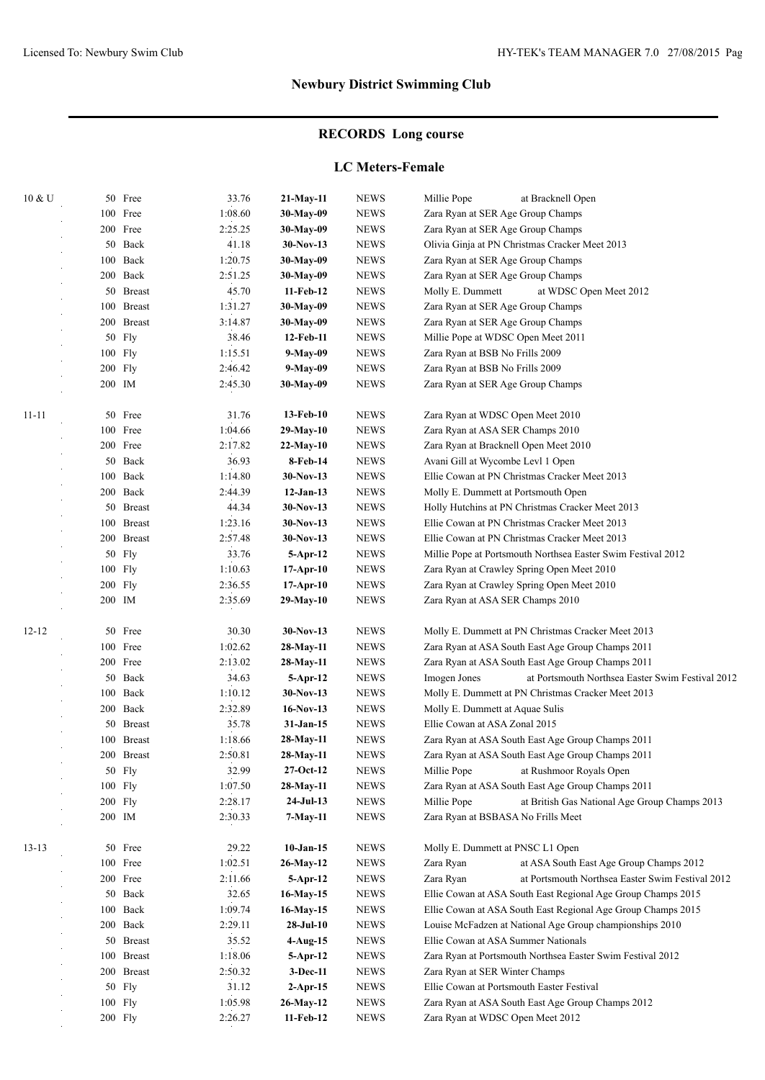# **RECORDS Long course**

### **LC Meters-Female**

| 10 & U    |                              | 50 Free       | 33.76        | $21-May-11$                       | <b>NEWS</b>  | at Bracknell Open<br>Millie Pope                                 |
|-----------|------------------------------|---------------|--------------|-----------------------------------|--------------|------------------------------------------------------------------|
|           |                              | 100 Free      | 1:08.60      | 30-May-09                         | <b>NEWS</b>  | Zara Ryan at SER Age Group Champs                                |
|           |                              | 200 Free      | 2:25.25      | 30-May-09                         | ${\rm NEWS}$ | Zara Ryan at SER Age Group Champs                                |
|           |                              | 50 Back       | 41.18        | 30-Nov-13                         | <b>NEWS</b>  | Olivia Ginja at PN Christmas Cracker Meet 2013                   |
|           |                              | 100 Back      | 1:20.75      | 30-May-09                         | <b>NEWS</b>  | Zara Ryan at SER Age Group Champs                                |
|           |                              | 200 Back      | 2:51.25      | 30-May-09                         | <b>NEWS</b>  | Zara Ryan at SER Age Group Champs                                |
|           |                              | 50 Breast     | 45.70        | 11-Feb-12                         | <b>NEWS</b>  | Molly E. Dummett<br>at WDSC Open Meet 2012                       |
|           | 100                          | <b>Breast</b> | 1:31.27      | 30-May-09                         | <b>NEWS</b>  | Zara Ryan at SER Age Group Champs                                |
|           | 200                          | <b>Breast</b> | 3:14.87      | 30-May-09                         | <b>NEWS</b>  | Zara Ryan at SER Age Group Champs                                |
|           |                              | 50 Fly        | 38.46        | 12-Feb-11                         | <b>NEWS</b>  | Millie Pope at WDSC Open Meet 2011                               |
|           |                              | 100 Fly       | 1:15.51      | 9-May-09                          | <b>NEWS</b>  | Zara Ryan at BSB No Frills 2009                                  |
|           |                              | 200 Fly       | 2:46.42      | 9-May-09                          | ${\rm NEWS}$ | Zara Ryan at BSB No Frills 2009                                  |
|           |                              | 200 IM        | 2:45.30      | 30-May-09                         | <b>NEWS</b>  | Zara Ryan at SER Age Group Champs                                |
| $11 - 11$ |                              | 50 Free       | 31.76        | 13-Feb-10                         | <b>NEWS</b>  | Zara Ryan at WDSC Open Meet 2010                                 |
|           |                              | 100 Free      | 1:04.66      | $29-May-10$                       | <b>NEWS</b>  | Zara Ryan at ASA SER Champs 2010                                 |
|           |                              | 200 Free      | 2:17.82      | $22-May-10$                       | ${\rm NEWS}$ | Zara Ryan at Bracknell Open Meet 2010                            |
|           | 36.93<br>50 Back<br>8-Feb-14 |               | ${\rm NEWS}$ | Avani Gill at Wycombe Levl 1 Open |              |                                                                  |
|           |                              | 100 Back      | 1:14.80      | $30-Nov-13$                       | <b>NEWS</b>  | Ellie Cowan at PN Christmas Cracker Meet 2013                    |
|           |                              | 200 Back      | 2:44.39      | $12-Jan-13$                       | ${\rm NEWS}$ | Molly E. Dummett at Portsmouth Open                              |
|           | 50                           | <b>Breast</b> | 44.34        | $30-Nov-13$                       | <b>NEWS</b>  | Holly Hutchins at PN Christmas Cracker Meet 2013                 |
|           |                              | 100 Breast    | 1:23.16      | $30-Nov-13$                       | <b>NEWS</b>  | Ellie Cowan at PN Christmas Cracker Meet 2013                    |
|           |                              | 200 Breast    | 2:57.48      | $30-Nov-13$                       | <b>NEWS</b>  | Ellie Cowan at PN Christmas Cracker Meet 2013                    |
|           | 50                           | Fly           | 33.76        | 5-Apr-12                          | <b>NEWS</b>  | Millie Pope at Portsmouth Northsea Easter Swim Festival 2012     |
|           |                              | 100 Fly       | 1:10.63      | $17-Apr-10$                       | <b>NEWS</b>  | Zara Ryan at Crawley Spring Open Meet 2010                       |
|           |                              | 200 Fly       | 2:36.55      | $17-Apr-10$                       | ${\rm NEWS}$ | Zara Ryan at Crawley Spring Open Meet 2010                       |
|           |                              | 200 IM        | 2:35.69      | 29-May-10                         | <b>NEWS</b>  | Zara Ryan at ASA SER Champs 2010                                 |
| $12 - 12$ |                              | 50 Free       | 30.30        | $30-Nov-13$                       | <b>NEWS</b>  | Molly E. Dummett at PN Christmas Cracker Meet 2013               |
|           |                              | 100 Free      | 1:02.62      | 28-May-11                         | <b>NEWS</b>  | Zara Ryan at ASA South East Age Group Champs 2011                |
|           |                              | 200 Free      | 2:13.02      | 28-May-11                         | <b>NEWS</b>  | Zara Ryan at ASA South East Age Group Champs 2011                |
|           |                              | 50 Back       | 34.63        | 5-Apr-12                          | <b>NEWS</b>  | at Portsmouth Northsea Easter Swim Festival 2012<br>Imogen Jones |
|           |                              | 100 Back      | 1:10.12      | $30-Nov-13$                       | <b>NEWS</b>  | Molly E. Dummett at PN Christmas Cracker Meet 2013               |
|           |                              | 200 Back      | 2:32.89      | $16-Nov-13$                       | <b>NEWS</b>  | Molly E. Dummett at Aquae Sulis                                  |
|           |                              | 50 Breast     | 35.78        | 31-Jan-15                         | <b>NEWS</b>  | Ellie Cowan at ASA Zonal 2015                                    |
|           |                              | 100 Breast    | 1:18.66      | 28-May-11                         | <b>NEWS</b>  | Zara Ryan at ASA South East Age Group Champs 2011                |
|           |                              | 200 Breast    | 2:50.81      | 28-May-11                         | <b>NEWS</b>  | Zara Ryan at ASA South East Age Group Champs 2011                |
|           |                              | 50 Fly        | 32.99        | 27-Oct-12                         | NEWS         | Millie Pope<br>at Rushmoor Royals Open                           |
|           |                              | 100 Fly       | 1:07.50      | 28-May-11                         | NEWS         | Zara Ryan at ASA South East Age Group Champs 2011                |
|           |                              | 200 Fly       | 2:28.17      | $24-Jul-13$                       | NEWS         | Millie Pope<br>at British Gas National Age Group Champs 2013     |
|           |                              | 200 IM        | 2:30.33      | 7-May-11                          | NEWS         | Zara Ryan at BSBASA No Frills Meet                               |
| $13-13$   |                              | 50 Free       | 29.22        | $10$ -Jan-15                      | <b>NEWS</b>  | Molly E. Dummett at PNSC L1 Open                                 |
|           |                              | 100 Free      | 1:02.51      | 26-May-12                         | NEWS         | Zara Ryan<br>at ASA South East Age Group Champs 2012             |
|           |                              | 200 Free      | 2:11.66      | 5-Apr-12                          | NEWS         | Zara Ryan<br>at Portsmouth Northsea Easter Swim Festival 2012    |
|           |                              | 50 Back       | 32.65        | 16-May-15                         | <b>NEWS</b>  | Ellie Cowan at ASA South East Regional Age Group Champs 2015     |
|           |                              | 100 Back      | 1:09.74      | 16-May-15                         | <b>NEWS</b>  | Ellie Cowan at ASA South East Regional Age Group Champs 2015     |
|           |                              | 200 Back      | 2:29.11      | 28-Jul-10                         | <b>NEWS</b>  | Louise McFadzen at National Age Group championships 2010         |
|           |                              | 50 Breast     | 35.52        | 4-Aug-15                          | <b>NEWS</b>  | Ellie Cowan at ASA Summer Nationals                              |
|           |                              | 100 Breast    | 1:18.06      | 5-Apr-12                          | <b>NEWS</b>  | Zara Ryan at Portsmouth Northsea Easter Swim Festival 2012       |
|           |                              | 200 Breast    | 2:50.32      | $3-Dec-11$                        | <b>NEWS</b>  | Zara Ryan at SER Winter Champs                                   |
|           |                              | 50 Fly        | 31.12        | $2$ -Apr-15                       | <b>NEWS</b>  | Ellie Cowan at Portsmouth Easter Festival                        |
|           |                              | 100 Fly       | 1:05.98      | 26-May-12                         | <b>NEWS</b>  | Zara Ryan at ASA South East Age Group Champs 2012                |
|           |                              | 200 Fly       | 2:26.27      | 11-Feb-12                         | <b>NEWS</b>  | Zara Ryan at WDSC Open Meet 2012                                 |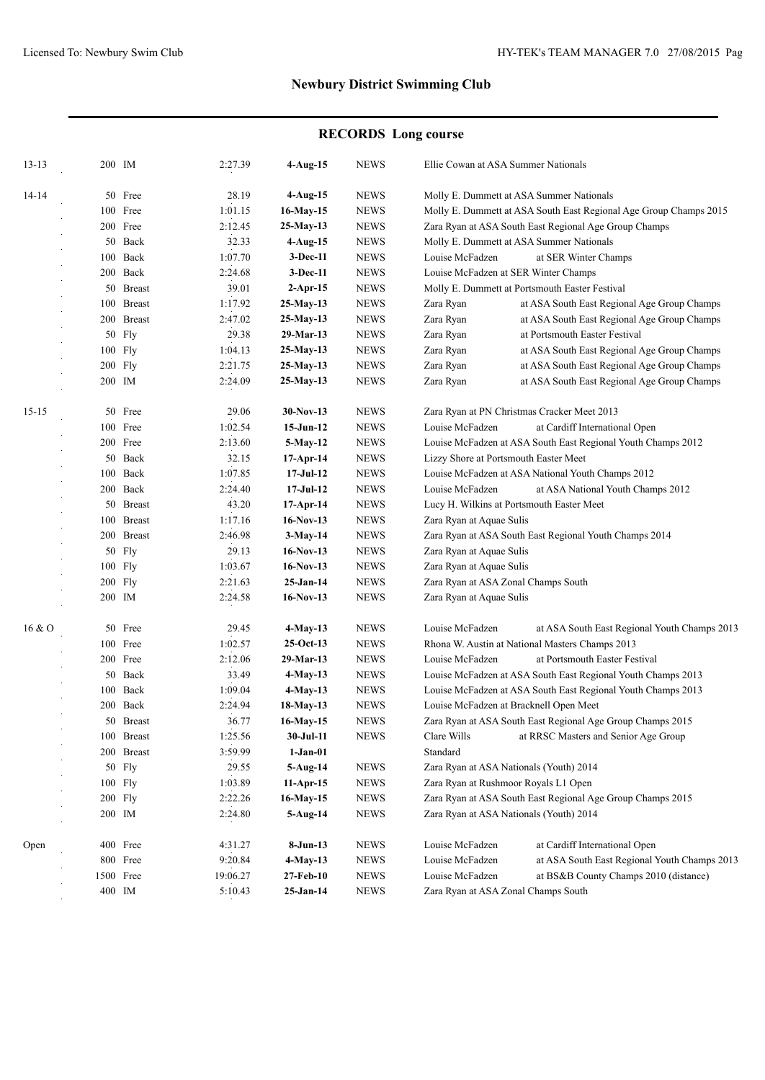# **RECORDS Long course**

| $13 - 13$ | 200 IM  |            | 2:27.39  | $4-Aug-15$   | <b>NEWS</b> | Ellie Cowan at ASA Summer Nationals                               |                                                              |  |
|-----------|---------|------------|----------|--------------|-------------|-------------------------------------------------------------------|--------------------------------------------------------------|--|
| 14-14     |         | 50 Free    | 28.19    | $4-Aug-15$   | <b>NEWS</b> | Molly E. Dummett at ASA Summer Nationals                          |                                                              |  |
|           |         | 100 Free   | 1:01.15  | 16-May-15    | <b>NEWS</b> | Molly E. Dummett at ASA South East Regional Age Group Champs 2015 |                                                              |  |
|           |         | 200 Free   | 2:12.45  | 25-May-13    | <b>NEWS</b> | Zara Ryan at ASA South East Regional Age Group Champs             |                                                              |  |
|           |         | 50 Back    | 32.33    | $4-Aug-15$   | <b>NEWS</b> | Molly E. Dummett at ASA Summer Nationals                          |                                                              |  |
|           |         | 100 Back   | 1:07.70  | 3-Dec-11     | <b>NEWS</b> | Louise McFadzen                                                   | at SER Winter Champs                                         |  |
|           |         | 200 Back   | 2:24.68  | 3-Dec-11     | <b>NEWS</b> | Louise McFadzen at SER Winter Champs                              |                                                              |  |
|           |         | 50 Breast  | 39.01    | $2-Apr-15$   | <b>NEWS</b> | Molly E. Dummett at Portsmouth Easter Festival                    |                                                              |  |
|           |         | 100 Breast | 1:17.92  | 25-May-13    | <b>NEWS</b> | Zara Ryan                                                         | at ASA South East Regional Age Group Champs                  |  |
|           |         | 200 Breast | 2:47.02  | 25-May-13    | <b>NEWS</b> | Zara Ryan                                                         | at ASA South East Regional Age Group Champs                  |  |
|           |         | 50 Fly     | 29.38    | 29-Mar-13    | <b>NEWS</b> | Zara Ryan                                                         | at Portsmouth Easter Festival                                |  |
|           |         | 100 Fly    | 1:04.13  | 25-May-13    | <b>NEWS</b> | Zara Ryan                                                         | at ASA South East Regional Age Group Champs                  |  |
|           | 200 Fly |            | 2:21.75  | 25-May-13    | <b>NEWS</b> | Zara Ryan                                                         | at ASA South East Regional Age Group Champs                  |  |
|           | 200 IM  |            | 2:24.09  | 25-May-13    | <b>NEWS</b> | Zara Ryan                                                         | at ASA South East Regional Age Group Champs                  |  |
|           |         |            |          |              |             |                                                                   |                                                              |  |
| $15 - 15$ |         | 50 Free    | 29.06    | $30-Nov-13$  | <b>NEWS</b> | Zara Ryan at PN Christmas Cracker Meet 2013                       |                                                              |  |
|           |         | 100 Free   | 1:02.54  | $15$ -Jun-12 | <b>NEWS</b> | Louise McFadzen                                                   | at Cardiff International Open                                |  |
|           |         | 200 Free   | 2:13.60  | 5-May-12     | <b>NEWS</b> | Louise McFadzen at ASA South East Regional Youth Champs 2012      |                                                              |  |
|           |         | 50 Back    | 32.15    | 17-Apr-14    | <b>NEWS</b> | Lizzy Shore at Portsmouth Easter Meet                             |                                                              |  |
|           |         | 100 Back   | 1:07.85  | $17-Jul-12$  | <b>NEWS</b> |                                                                   | Louise McFadzen at ASA National Youth Champs 2012            |  |
|           |         | 200 Back   | 2:24.40  | $17-JuI-12$  | <b>NEWS</b> | Louise McFadzen                                                   | at ASA National Youth Champs 2012                            |  |
|           |         | 50 Breast  | 43.20    | 17-Apr-14    | <b>NEWS</b> | Lucy H. Wilkins at Portsmouth Easter Meet                         |                                                              |  |
|           |         | 100 Breast | 1:17.16  | 16-Nov-13    | <b>NEWS</b> | Zara Ryan at Aquae Sulis                                          |                                                              |  |
|           |         | 200 Breast | 2:46.98  | 3-May-14     | <b>NEWS</b> | Zara Ryan at ASA South East Regional Youth Champs 2014            |                                                              |  |
|           |         | 50 Fly     | 29.13    | $16-Nov-13$  | <b>NEWS</b> | Zara Ryan at Aquae Sulis                                          |                                                              |  |
|           |         | 100 Fly    | 1:03.67  | $16-Nov-13$  | <b>NEWS</b> | Zara Ryan at Aquae Sulis                                          |                                                              |  |
|           | 200 Fly |            | 2:21.63  | 25-Jan-14    | <b>NEWS</b> | Zara Ryan at ASA Zonal Champs South                               |                                                              |  |
|           | 200 IM  |            | 2:24.58  | 16-Nov-13    | <b>NEWS</b> | Zara Ryan at Aquae Sulis                                          |                                                              |  |
| 16&0      |         | 50 Free    | 29.45    | 4-May-13     | <b>NEWS</b> | Louise McFadzen                                                   | at ASA South East Regional Youth Champs 2013                 |  |
|           |         | 100 Free   | 1:02.57  | $25-Oct-13$  | <b>NEWS</b> |                                                                   | Rhona W. Austin at National Masters Champs 2013              |  |
|           |         | 200 Free   | 2:12.06  | 29-Mar-13    | <b>NEWS</b> | Louise McFadzen<br>at Portsmouth Easter Festival                  |                                                              |  |
|           |         | 50 Back    | 33.49    | $4-May-13$   | <b>NEWS</b> |                                                                   | Louise McFadzen at ASA South East Regional Youth Champs 2013 |  |
|           |         | 100 Back   | 1:09.04  | $4-May-13$   | <b>NEWS</b> |                                                                   | Louise McFadzen at ASA South East Regional Youth Champs 2013 |  |
|           |         | 200 Back   | 2:24.94  | 18-May-13    | <b>NEWS</b> | Louise McFadzen at Bracknell Open Meet                            |                                                              |  |
|           |         | 50 Breast  | 36.77    | 16-May-15    | <b>NEWS</b> |                                                                   | Zara Ryan at ASA South East Regional Age Group Champs 2015   |  |
|           |         | 100 Breast | 1:25.56  | 30-Jul-11    | NEWS        | Clare Wills                                                       | at RRSC Masters and Senior Age Group                         |  |
|           |         | 200 Breast | 3:59.99  | $1-Jan-01$   |             | Standard                                                          |                                                              |  |
|           |         | 50 Fly     | 29.55    | 5-Aug-14     | <b>NEWS</b> | Zara Ryan at ASA Nationals (Youth) 2014                           |                                                              |  |
|           |         | 100 Fly    | 1:03.89  | $11-Apr-15$  | <b>NEWS</b> | Zara Ryan at Rushmoor Royals L1 Open                              |                                                              |  |
|           | 200 Fly |            | 2:22.26  | 16-May-15    | <b>NEWS</b> |                                                                   | Zara Ryan at ASA South East Regional Age Group Champs 2015   |  |
|           |         | 200 IM     | 2:24.80  | $5-Aug-14$   | <b>NEWS</b> | Zara Ryan at ASA Nationals (Youth) 2014                           |                                                              |  |
| Open      |         | 400 Free   | 4:31.27  | $8-Jun-13$   | <b>NEWS</b> | Louise McFadzen                                                   | at Cardiff International Open                                |  |
|           |         | 800 Free   | 9:20.84  | $4-May-13$   | <b>NEWS</b> | Louise McFadzen                                                   | at ASA South East Regional Youth Champs 2013                 |  |
|           |         | 1500 Free  | 19:06.27 | 27-Feb-10    | <b>NEWS</b> | Louise McFadzen                                                   | at BS&B County Champs 2010 (distance)                        |  |
|           | 400 IM  |            | 5:10.43  | $25-Jan-14$  | <b>NEWS</b> | Zara Ryan at ASA Zonal Champs South                               |                                                              |  |
|           |         |            |          |              |             |                                                                   |                                                              |  |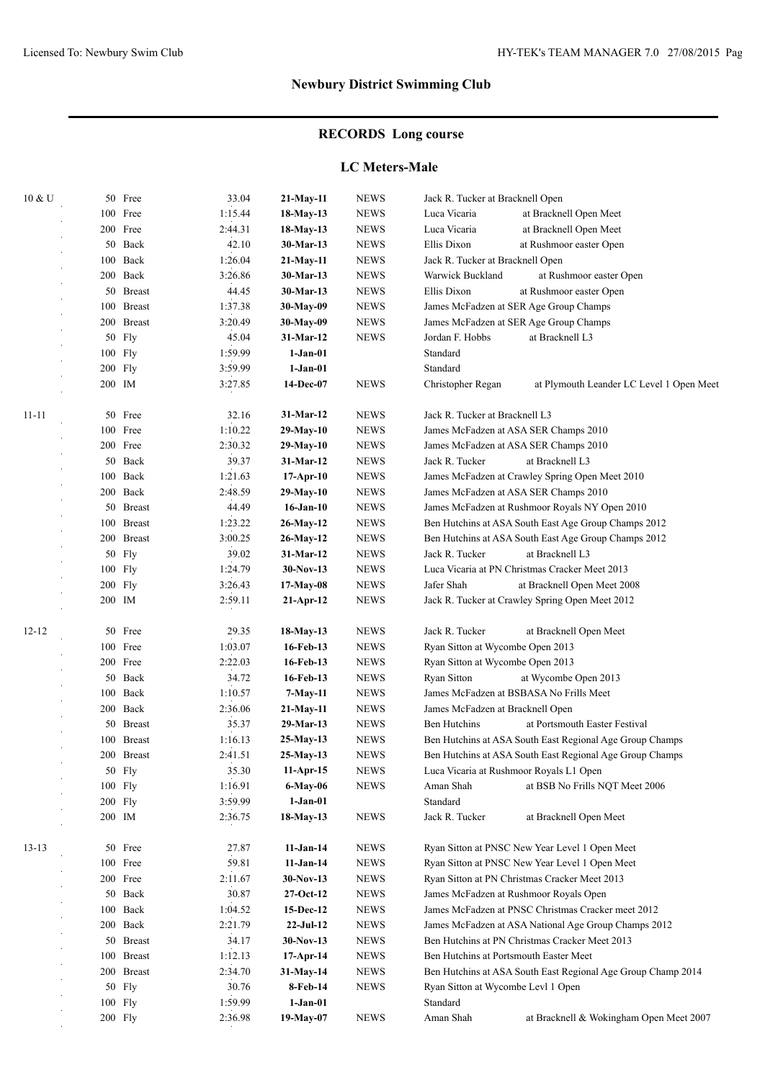# **RECORDS Long course**

### **LC Meters-Male**

| 10 & U    |              | 50 Free            | 33.04   | 21-May-11              | <b>NEWS</b>  | Jack R. Tucker at Bracknell Open                              |  |
|-----------|--------------|--------------------|---------|------------------------|--------------|---------------------------------------------------------------|--|
|           | 100          | Free               | 1:15.44 | 18-May-13              | <b>NEWS</b>  | Luca Vicaria<br>at Bracknell Open Meet                        |  |
|           |              | 200 Free           | 2:44.31 | 18-May-13              | <b>NEWS</b>  | Luca Vicaria<br>at Bracknell Open Meet                        |  |
|           | 50           | Back               | 42.10   | 30-Mar-13              | <b>NEWS</b>  | Ellis Dixon<br>at Rushmoor easter Open                        |  |
|           | 100          | Back               | 1:26.04 | 21-May-11              | <b>NEWS</b>  | Jack R. Tucker at Bracknell Open                              |  |
|           | 200          | Back               | 3:26.86 | 30-Mar-13              | <b>NEWS</b>  | Warwick Buckland<br>at Rushmoor easter Open                   |  |
|           | 50           | <b>Breast</b>      | 44.45   | 30-Mar-13              | <b>NEWS</b>  | Ellis Dixon<br>at Rushmoor easter Open                        |  |
|           | 100          | <b>Breast</b>      | 1:37.38 | 30-May-09              | <b>NEWS</b>  | James McFadzen at SER Age Group Champs                        |  |
|           | 200          | <b>Breast</b>      | 3:20.49 | 30-May-09              | <b>NEWS</b>  | James McFadzen at SER Age Group Champs                        |  |
|           | 50           | Fly                | 45.04   | 31-Mar-12              | <b>NEWS</b>  | Jordan F. Hobbs<br>at Bracknell L3                            |  |
|           | 100          | Fly                | 1:59.99 | $1-Jan-01$             |              | Standard                                                      |  |
|           |              | 200 Fly            | 3:59.99 | $1-Jan-01$             |              | Standard                                                      |  |
|           | 200 IM       |                    | 3:27.85 | 14-Dec-07              | <b>NEWS</b>  | Christopher Regan<br>at Plymouth Leander LC Level 1 Open Meet |  |
|           |              |                    |         |                        |              |                                                               |  |
| $11 - 11$ | 50           | Free               | 32.16   | 31-Mar-12              | <b>NEWS</b>  | Jack R. Tucker at Bracknell L3                                |  |
|           | 100          | Free               | 1:10.22 | $29-May-10$            | <b>NEWS</b>  | James McFadzen at ASA SER Champs 2010                         |  |
|           |              | 200 Free           | 2:30.32 | $29-May-10$            | <b>NEWS</b>  | James McFadzen at ASA SER Champs 2010                         |  |
|           | 50           | Back               | 39.37   | 31-Mar-12              | <b>NEWS</b>  | Jack R. Tucker<br>at Bracknell L3                             |  |
|           | 100          | Back               | 1:21.63 | $17-Apr-10$            | <b>NEWS</b>  | James McFadzen at Crawley Spring Open Meet 2010               |  |
|           | 200          | Back               | 2:48.59 | $29-May-10$            | <b>NEWS</b>  | James McFadzen at ASA SER Champs 2010                         |  |
|           | 50           | <b>Breast</b>      | 44.49   | $16$ -Jan- $10$        | <b>NEWS</b>  | James McFadzen at Rushmoor Royals NY Open 2010                |  |
|           | 100          | <b>Breast</b>      | 1:23.22 | $26$ -May-12           | <b>NEWS</b>  | Ben Hutchins at ASA South East Age Group Champs 2012          |  |
|           | 200          | <b>Breast</b>      | 3:00.25 | 26-May-12              | <b>NEWS</b>  | Ben Hutchins at ASA South East Age Group Champs 2012          |  |
|           | 50           | Fly                | 39.02   | 31-Mar-12              | <b>NEWS</b>  | Jack R. Tucker<br>at Bracknell L3                             |  |
|           | 100          | Fly                | 1:24.79 | 30-Nov-13              | <b>NEWS</b>  | Luca Vicaria at PN Christmas Cracker Meet 2013                |  |
|           |              | 200 Fly            | 3:26.43 | $17-May-08$            | <b>NEWS</b>  | Jafer Shah<br>at Bracknell Open Meet 2008                     |  |
|           | 200 IM       |                    | 2:59.11 | $21-Apr-12$            | <b>NEWS</b>  | Jack R. Tucker at Crawley Spring Open Meet 2012               |  |
|           |              |                    |         |                        |              |                                                               |  |
| $12 - 12$ | 50           | Free               | 29.35   | 18-May-13              | <b>NEWS</b>  | Jack R. Tucker<br>at Bracknell Open Meet                      |  |
|           | 100          | Free               | 1:03.07 | 16-Feb-13              | <b>NEWS</b>  | Ryan Sitton at Wycombe Open 2013                              |  |
|           | 200          | Free               | 2:22.03 | 16-Feb-13              | <b>NEWS</b>  | Ryan Sitton at Wycombe Open 2013                              |  |
|           | 50           | Back               | 34.72   | 16-Feb-13              | <b>NEWS</b>  | Ryan Sitton<br>at Wycombe Open 2013                           |  |
|           | 100          | Back               | 1:10.57 | $7-May-11$             | <b>NEWS</b>  | James McFadzen at BSBASA No Frills Meet                       |  |
|           | 200          | Back               | 2:36.06 | 21-May-11              | <b>NEWS</b>  | James McFadzen at Bracknell Open                              |  |
|           | 50           | <b>Breast</b>      | 35.37   | 29-Mar-13              | ${\rm NEWS}$ | <b>Ben Hutchins</b><br>at Portsmouth Easter Festival          |  |
|           | 100          | <b>Breast</b>      | 1:16.13 | $25-May-13$            | <b>NEWS</b>  | Ben Hutchins at ASA South East Regional Age Group Champs      |  |
|           |              | 200 Breast         | 2:41.51 | 25-May-13              | <b>NEWS</b>  | Ben Hutchins at ASA South East Regional Age Group Champs      |  |
|           |              |                    |         | 11-Apr-15              |              | Luca Vicaria at Rushmoor Royals L1 Open                       |  |
|           |              | 50 Fly             | 35.30   |                        | NEWS         |                                                               |  |
|           |              | 100 Fly<br>200 Fly | 1:16.91 | 6-May-06<br>$1-Jan-01$ | <b>NEWS</b>  | Aman Shah<br>at BSB No Frills NQT Meet 2006<br>Standard       |  |
|           |              |                    | 3:59.99 |                        |              |                                                               |  |
|           | $200\;\;$ IM |                    | 2:36.75 | $18-May-13$            | <b>NEWS</b>  | Jack R. Tucker<br>at Bracknell Open Meet                      |  |
| $13 - 13$ |              | 50 Free            | 27.87   | $11-Jan-14$            | <b>NEWS</b>  | Ryan Sitton at PNSC New Year Level 1 Open Meet                |  |
|           |              | 100 Free           | 59.81   | $11-Jan-14$            | <b>NEWS</b>  | Ryan Sitton at PNSC New Year Level 1 Open Meet                |  |
|           |              | 200 Free           | 2:11.67 | $30-Nov-13$            | <b>NEWS</b>  | Ryan Sitton at PN Christmas Cracker Meet 2013                 |  |
|           |              | Back               |         | $27-Oct-12$            |              |                                                               |  |
|           | 50           | Back               | 30.87   | 15-Dec-12              | <b>NEWS</b>  | James McFadzen at Rushmoor Royals Open                        |  |
|           | 100          |                    | 1:04.52 |                        | <b>NEWS</b>  | James McFadzen at PNSC Christmas Cracker meet 2012            |  |
|           |              | 200 Back           | 2:21.79 | 22-Jul-12              | <b>NEWS</b>  | James McFadzen at ASA National Age Group Champs 2012          |  |
|           | 50           | <b>Breast</b>      | 34.17   | $30-Nov-13$            | <b>NEWS</b>  | Ben Hutchins at PN Christmas Cracker Meet 2013                |  |
|           | 100          | <b>Breast</b>      | 1:12.13 | $17-Apr-14$            | <b>NEWS</b>  | Ben Hutchins at Portsmouth Easter Meet                        |  |
|           | 200          | <b>Breast</b>      | 2:34.70 | 31-May-14              | <b>NEWS</b>  | Ben Hutchins at ASA South East Regional Age Group Champ 2014  |  |
|           | 50           | Fly                | 30.76   | 8-Feb-14               | <b>NEWS</b>  | Ryan Sitton at Wycombe Levl 1 Open                            |  |
|           | 100          | Fly                | 1:59.99 | $1-Jan-01$             |              | Standard                                                      |  |
|           |              | 200 Fly            | 2:36.98 | 19-May-07              | <b>NEWS</b>  | at Bracknell & Wokingham Open Meet 2007<br>Aman Shah          |  |